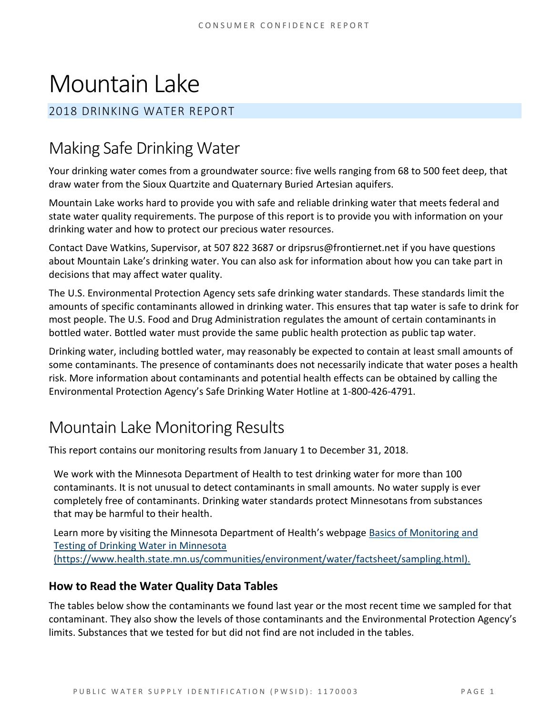# Mountain Lake

#### 2018 DRINKING WATER REPORT

## Making Safe Drinking Water

Your drinking water comes from a groundwater source: five wells ranging from 68 to 500 feet deep, that draw water from the Sioux Quartzite and Quaternary Buried Artesian aquifers.

Mountain Lake works hard to provide you with safe and reliable drinking water that meets federal and state water quality requirements. The purpose of this report is to provide you with information on your drinking water and how to protect our precious water resources.

Contact Dave Watkins, Supervisor, at 507 822 3687 or dripsrus@frontiernet.net if you have questions about Mountain Lake's drinking water. You can also ask for information about how you can take part in decisions that may affect water quality.

The U.S. Environmental Protection Agency sets safe drinking water standards. These standards limit the amounts of specific contaminants allowed in drinking water. This ensures that tap water is safe to drink for most people. The U.S. Food and Drug Administration regulates the amount of certain contaminants in bottled water. Bottled water must provide the same public health protection as public tap water.

Drinking water, including bottled water, may reasonably be expected to contain at least small amounts of some contaminants. The presence of contaminants does not necessarily indicate that water poses a health risk. More information about contaminants and potential health effects can be obtained by calling the Environmental Protection Agency's Safe Drinking Water Hotline at 1-800-426-4791.

### Mountain Lake Monitoring Results

This report contains our monitoring results from January 1 to December 31, 2018.

We work with the Minnesota Department of Health to test drinking water for more than 100 contaminants. It is not unusual to detect contaminants in small amounts. No water supply is ever completely free of contaminants. Drinking water standards protect Minnesotans from substances that may be harmful to their health.

Learn more by visiting the Minnesota Department of Health's webpage [Basics of Monitoring and](https://www.health.state.mn.us/communities/environment/water/factsheet/sampling.html)  [Testing of Drinking Water in Minnesota](https://www.health.state.mn.us/communities/environment/water/factsheet/sampling.html)  [\(https://www.health.state.mn.us/communities/environment/water/factsheet/sampling.html\).](https://www.health.state.mn.us/communities/environment/water/factsheet/sampling.html)

#### **How to Read the Water Quality Data Tables**

The tables below show the contaminants we found last year or the most recent time we sampled for that contaminant. They also show the levels of those contaminants and the Environmental Protection Agency's limits. Substances that we tested for but did not find are not included in the tables.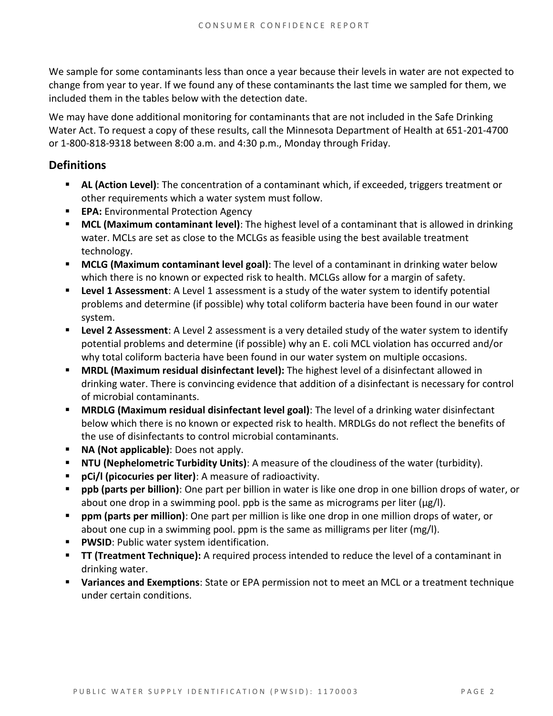We sample for some contaminants less than once a year because their levels in water are not expected to change from year to year. If we found any of these contaminants the last time we sampled for them, we included them in the tables below with the detection date.

We may have done additional monitoring for contaminants that are not included in the Safe Drinking Water Act. To request a copy of these results, call the Minnesota Department of Health at 651-201-4700 or 1-800-818-9318 between 8:00 a.m. and 4:30 p.m., Monday through Friday.

#### **Definitions**

- **EXECT AL (Action Level):** The concentration of a contaminant which, if exceeded, triggers treatment or other requirements which a water system must follow.
- **EPA:** Environmental Protection Agency
- **MCL (Maximum contaminant level)**: The highest level of a contaminant that is allowed in drinking water. MCLs are set as close to the MCLGs as feasible using the best available treatment technology.
- **MCLG (Maximum contaminant level goal)**: The level of a contaminant in drinking water below which there is no known or expected risk to health. MCLGs allow for a margin of safety.
- **Example 1 Assessment:** A Level 1 assessment is a study of the water system to identify potential problems and determine (if possible) why total coliform bacteria have been found in our water system.
- **Example 2 Assessment:** A Level 2 assessment is a very detailed study of the water system to identify potential problems and determine (if possible) why an E. coli MCL violation has occurred and/or why total coliform bacteria have been found in our water system on multiple occasions.
- **MRDL (Maximum residual disinfectant level):** The highest level of a disinfectant allowed in drinking water. There is convincing evidence that addition of a disinfectant is necessary for control of microbial contaminants.
- **MRDLG (Maximum residual disinfectant level goal)**: The level of a drinking water disinfectant below which there is no known or expected risk to health. MRDLGs do not reflect the benefits of the use of disinfectants to control microbial contaminants.
- **NA (Not applicable)**: Does not apply.
- **NTU (Nephelometric Turbidity Units)**: A measure of the cloudiness of the water (turbidity).
- **pCi/l (picocuries per liter)**: A measure of radioactivity.
- ppb (parts per billion): One part per billion in water is like one drop in one billion drops of water, or about one drop in a swimming pool. ppb is the same as micrograms per liter ( $\mu$ g/l).
- **ppm (parts per million)**: One part per million is like one drop in one million drops of water, or about one cup in a swimming pool. ppm is the same as milligrams per liter (mg/l).
- **PWSID: Public water system identification.**
- **TT (Treatment Technique):** A required process intended to reduce the level of a contaminant in drinking water.
- **Variances and Exemptions**: State or EPA permission not to meet an MCL or a treatment technique under certain conditions.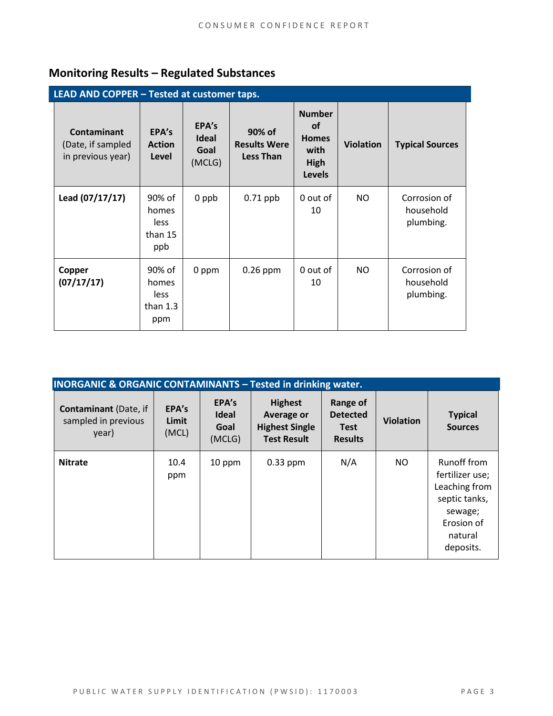### **Monitoring Results – Regulated Substances**

| LEAD AND COPPER - Tested at customer taps.                   |                                              |                                  |                                                   |                                                                             |                  |                                        |  |  |
|--------------------------------------------------------------|----------------------------------------------|----------------------------------|---------------------------------------------------|-----------------------------------------------------------------------------|------------------|----------------------------------------|--|--|
| <b>Contaminant</b><br>(Date, if sampled<br>in previous year) | EPA's<br><b>Action</b><br>Level              | EPA's<br>Ideal<br>Goal<br>(MCLG) | 90% of<br><b>Results Were</b><br><b>Less Than</b> | <b>Number</b><br><b>of</b><br><b>Homes</b><br>with<br>High<br><b>Levels</b> | <b>Violation</b> | <b>Typical Sources</b>                 |  |  |
| Lead (07/17/17)                                              | 90% of<br>homes<br>less<br>than 15<br>ppb    | 0 ppb                            | $0.71$ ppb                                        | 0 out of<br>10                                                              | NO.              | Corrosion of<br>household<br>plumbing. |  |  |
| Copper<br>(07/17/17)                                         | 90% of<br>homes<br>less<br>than $1.3$<br>ppm | 0 ppm                            | $0.26$ ppm                                        | 0 out of<br>10                                                              | NO               | Corrosion of<br>household<br>plumbing. |  |  |

| <b>INORGANIC &amp; ORGANIC CONTAMINANTS - Tested in drinking water.</b> |                         |                                         |                                                                             |                                                              |                  |                                                                                                                   |  |
|-------------------------------------------------------------------------|-------------------------|-----------------------------------------|-----------------------------------------------------------------------------|--------------------------------------------------------------|------------------|-------------------------------------------------------------------------------------------------------------------|--|
| <b>Contaminant</b> (Date, if<br>sampled in previous<br>year)            | EPA's<br>Limit<br>(MCL) | EPA's<br><b>Ideal</b><br>Goal<br>(MCLG) | <b>Highest</b><br>Average or<br><b>Highest Single</b><br><b>Test Result</b> | Range of<br><b>Detected</b><br><b>Test</b><br><b>Results</b> | <b>Violation</b> | <b>Typical</b><br><b>Sources</b>                                                                                  |  |
| <b>Nitrate</b>                                                          | 10.4<br>ppm             | 10 ppm                                  | $0.33$ ppm                                                                  | N/A                                                          | NO.              | Runoff from<br>fertilizer use;<br>Leaching from<br>septic tanks,<br>sewage;<br>Erosion of<br>natural<br>deposits. |  |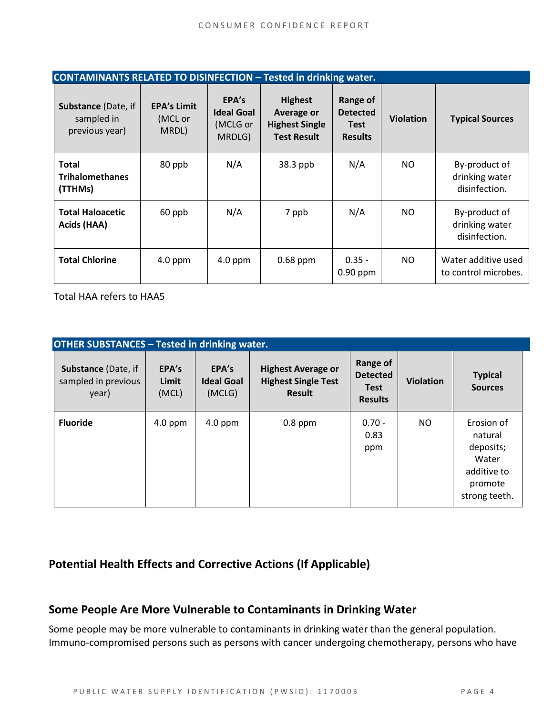| <b>CONTAMINANTS RELATED TO DISINFECTION - Tested in drinking water.</b> |                                        |                                                  |                                                                             |                                                              |                  |                                                  |  |
|-------------------------------------------------------------------------|----------------------------------------|--------------------------------------------------|-----------------------------------------------------------------------------|--------------------------------------------------------------|------------------|--------------------------------------------------|--|
| Substance (Date, if<br>sampled in<br>previous year)                     | <b>EPA's Limit</b><br>(MCL or<br>MRDL) | EPA's<br><b>Ideal Goal</b><br>(MCLG or<br>MRDLG) | <b>Highest</b><br>Average or<br><b>Highest Single</b><br><b>Test Result</b> | Range of<br><b>Detected</b><br><b>Test</b><br><b>Results</b> | <b>Violation</b> | <b>Typical Sources</b>                           |  |
| <b>Total</b><br><b>Trihalomethanes</b><br>(TTHMs)                       | 80 ppb                                 | N/A                                              | 38.3 ppb                                                                    | N/A                                                          | NO.              | By-product of<br>drinking water<br>disinfection. |  |
| <b>Total Haloacetic</b><br>Acids (HAA)                                  | 60 ppb                                 | N/A                                              | 7 ppb                                                                       | N/A                                                          | NO.              | By-product of<br>drinking water<br>disinfection. |  |
| <b>Total Chlorine</b>                                                   | 4.0 ppm                                | $4.0$ ppm                                        | $0.68$ ppm                                                                  | $0.35 -$<br>$0.90$ ppm                                       | NO.              | Water additive used<br>to control microbes.      |  |

Total HAA refers to HAA5

| <b>OTHER SUBSTANCES - Tested in drinking water.</b> |                         |                                      |                                                                          |                                                              |                  |                                                                                        |  |  |
|-----------------------------------------------------|-------------------------|--------------------------------------|--------------------------------------------------------------------------|--------------------------------------------------------------|------------------|----------------------------------------------------------------------------------------|--|--|
| Substance (Date, if<br>sampled in previous<br>year) | EPA's<br>Limit<br>(MCL) | EPA's<br><b>Ideal Goal</b><br>(MCLG) | <b>Highest Average or</b><br><b>Highest Single Test</b><br><b>Result</b> | Range of<br><b>Detected</b><br><b>Test</b><br><b>Results</b> | <b>Violation</b> | <b>Typical</b><br><b>Sources</b>                                                       |  |  |
| <b>Fluoride</b>                                     | 4.0 ppm                 | $4.0$ ppm                            | $0.8$ ppm                                                                | $0.70 -$<br>0.83<br>ppm                                      | NO.              | Erosion of<br>natural<br>deposits;<br>Water<br>additive to<br>promote<br>strong teeth. |  |  |

#### **Potential Health Effects and Corrective Actions (If Applicable)**

#### **Some People Are More Vulnerable to Contaminants in Drinking Water**

Some people may be more vulnerable to contaminants in drinking water than the general population. Immuno-compromised persons such as persons with cancer undergoing chemotherapy, persons who have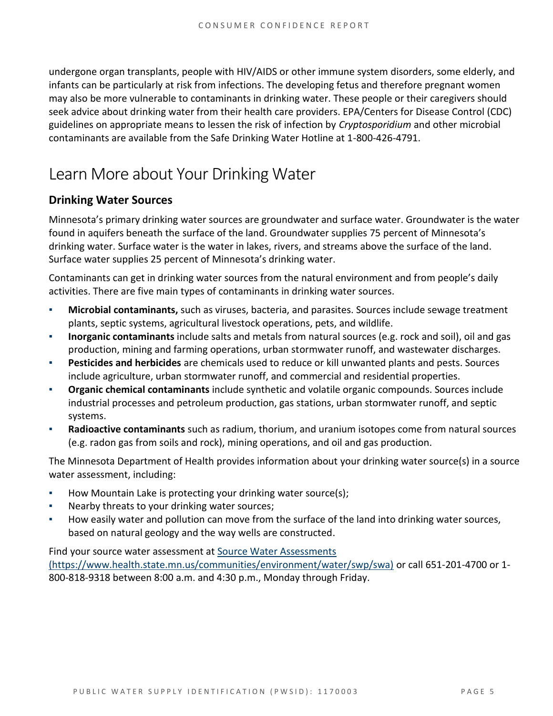undergone organ transplants, people with HIV/AIDS or other immune system disorders, some elderly, and infants can be particularly at risk from infections. The developing fetus and therefore pregnant women may also be more vulnerable to contaminants in drinking water. These people or their caregivers should seek advice about drinking water from their health care providers. EPA/Centers for Disease Control (CDC) guidelines on appropriate means to lessen the risk of infection by *Cryptosporidium* and other microbial contaminants are available from the Safe Drinking Water Hotline at 1-800-426-4791.

### Learn More about Your Drinking Water

#### **Drinking Water Sources**

Minnesota's primary drinking water sources are groundwater and surface water. Groundwater is the water found in aquifers beneath the surface of the land. Groundwater supplies 75 percent of Minnesota's drinking water. Surface water is the water in lakes, rivers, and streams above the surface of the land. Surface water supplies 25 percent of Minnesota's drinking water.

Contaminants can get in drinking water sources from the natural environment and from people's daily activities. There are five main types of contaminants in drinking water sources.

- **Microbial contaminants,** such as viruses, bacteria, and parasites. Sources include sewage treatment plants, septic systems, agricultural livestock operations, pets, and wildlife.
- **Inorganic contaminants** include salts and metals from natural sources (e.g. rock and soil), oil and gas production, mining and farming operations, urban stormwater runoff, and wastewater discharges.
- Pesticides and herbicides are chemicals used to reduce or kill unwanted plants and pests. Sources include agriculture, urban stormwater runoff, and commercial and residential properties.
- **Organic chemical contaminants** include synthetic and volatile organic compounds. Sources include industrial processes and petroleum production, gas stations, urban stormwater runoff, and septic systems.
- **Radioactive contaminants** such as radium, thorium, and uranium isotopes come from natural sources (e.g. radon gas from soils and rock), mining operations, and oil and gas production.

The Minnesota Department of Health provides information about your drinking water source(s) in a source water assessment, including:

- How Mountain Lake is protecting your drinking water source(s);
- Nearby threats to your drinking water sources;
- How easily water and pollution can move from the surface of the land into drinking water sources, based on natural geology and the way wells are constructed.

Find your source water assessment at Source Water Assessments [\(https://www.health.state.mn.us/communities/environment/water/swp/swa\)](https://www.health.state.mn.us/communities/environment/water/swp/swa) or call 651-201-4700 or 1- 800-818-9318 between 8:00 a.m. and 4:30 p.m., Monday through Friday.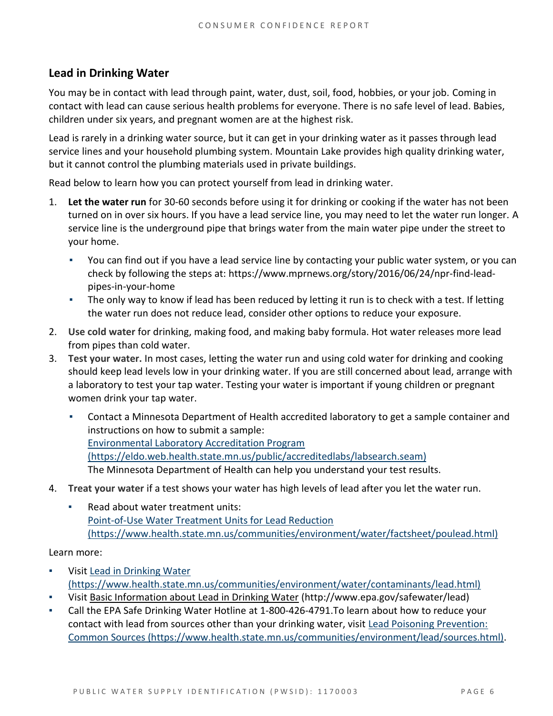#### **Lead in Drinking Water**

You may be in contact with lead through paint, water, dust, soil, food, hobbies, or your job. Coming in contact with lead can cause serious health problems for everyone. There is no safe level of lead. Babies, children under six years, and pregnant women are at the highest risk.

Lead is rarely in a drinking water source, but it can get in your drinking water as it passes through lead service lines and your household plumbing system. Mountain Lake provides high quality drinking water, but it cannot control the plumbing materials used in private buildings.

Read below to learn how you can protect yourself from lead in drinking water.

- 1. **Let the water run** for 30-60 seconds before using it for drinking or cooking if the water has not been turned on in over six hours. If you have a lead service line, you may need to let the water run longer. A service line is the underground pipe that brings water from the main water pipe under the street to your home.
	- You can find out if you have a lead service line by contacting your public water system, or you can check by following the steps at: [https://www.mprnews.org/story/2016/06/24/npr-find-lead](https://www.mprnews.org/story/2016/06/24/npr-find-lead-pipes-in-your-home)[pipes-in-your-home](https://www.mprnews.org/story/2016/06/24/npr-find-lead-pipes-in-your-home)
	- The only way to know if lead has been reduced by letting it run is to check with a test. If letting the water run does not reduce lead, consider other options to reduce your exposure.
- 2. **Use cold water** for drinking, making food, and making baby formula. Hot water releases more lead from pipes than cold water.
- 3. **Test your water.** In most cases, letting the water run and using cold water for drinking and cooking should keep lead levels low in your drinking water. If you are still concerned about lead, arrange with a laboratory to test your tap water. Testing your water is important if young children or pregnant women drink your tap water.
	- Contact a Minnesota Department of Health accredited laboratory to get a sample container and instructions on how to submit a sample: [Environmental Laboratory Accreditation Program](https://eldo.web.health.state.mn.us/public/accreditedlabs/labsearch.seam)  [\(https://eldo.web.health.state.mn.us/public/accreditedlabs/labsearch.seam\)](https://eldo.web.health.state.mn.us/public/accreditedlabs/labsearch.seam) The Minnesota Department of Health can help you understand your test results.
- 4. **Treat your water** if a test shows your water has high levels of lead after you let the water run.
	- Read about water treatment units: [Point-of-Use Water Treatment Units for Lead Reduction](https://www.health.state.mn.us/communities/environment/water/factsheet/poulead.html)  [\(https://www.health.state.mn.us/communities/environment/water/factsheet/poulead.html\)](https://www.health.state.mn.us/communities/environment/water/factsheet/poulead.html)

Learn more:

- Visit Lead in Drinking Water [\(https://www.health.state.mn.us/communities/environment/water/contaminants/lead.html\)](https://www.health.state.mn.us/communities/environment/water/contaminants/lead.html)
- Visit Basic Information about Lead in Drinking Water [\(http://www.epa.gov/safewater/lead\)](http://www.epa.gov/safewater/lead)
- Call the EPA Safe Drinking Water Hotline at 1-800-426-4791.To learn about how to reduce your contact with lead from sources other than your drinking water, visit [Lead Poisoning Prevention:](https://www.health.state.mn.us/communities/environment/lead/sources.html)  [Common Sources \(https://www.health.state.mn.us/communities/environment/lead/sources.html\).](https://www.health.state.mn.us/communities/environment/lead/sources.html)